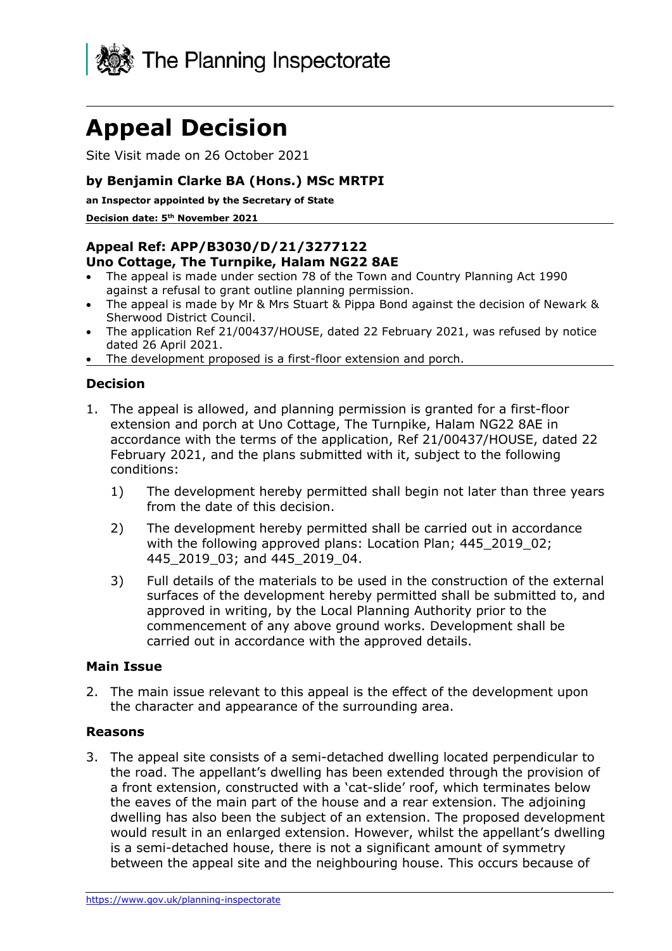

# **Appeal Decision**

Site Visit made on 26 October 2021

# **by Benjamin Clarke BA (Hons.) MSc MRTPI**

**an Inspector appointed by the Secretary of State** 

**Decision date: 5 th November 2021**

# **Appeal Ref: APP/B3030/D/21/3277122**

### **Uno Cottage, The Turnpike, Halam NG22 8AE**

- The appeal is made under section 78 of the Town and Country Planning Act 1990 against a refusal to grant outline planning permission.
- The appeal is made by Mr & Mrs Stuart & Pippa Bond against the decision of Newark & Sherwood District Council.
- The application Ref 21/00437/HOUSE, dated 22 February 2021, was refused by notice dated 26 April 2021.
- The development proposed is a first-floor extension and porch.

# **Decision**

- 1. The appeal is allowed, and planning permission is granted for a first-floor extension and porch at Uno Cottage, The Turnpike, Halam NG22 8AE in accordance with the terms of the application, Ref 21/00437/HOUSE, dated 22 February 2021, and the plans submitted with it, subject to the following conditions:
	- 1) The development hereby permitted shall begin not later than three years from the date of this decision.
	- 2) The development hereby permitted shall be carried out in accordance with the following approved plans: Location Plan; 445\_2019\_02; 445\_2019\_03; and 445\_2019\_04.
	- 3) Full details of the materials to be used in the construction of the external surfaces of the development hereby permitted shall be submitted to, and approved in writing, by the Local Planning Authority prior to the commencement of any above ground works. Development shall be carried out in accordance with the approved details.

#### **Main Issue**

2. The main issue relevant to this appeal is the effect of the development upon the character and appearance of the surrounding area.

# **Reasons**

3. The appeal site consists of a semi-detached dwelling located perpendicular to the road. The appellant's dwelling has been extended through the provision of a front extension, constructed with a 'cat-slide' roof, which terminates below the eaves of the main part of the house and a rear extension. The adjoining dwelling has also been the subject of an extension. The proposed development would result in an enlarged extension. However, whilst the appellant's dwelling is a semi-detached house, there is not a significant amount of symmetry between the appeal site and the neighbouring house. This occurs because of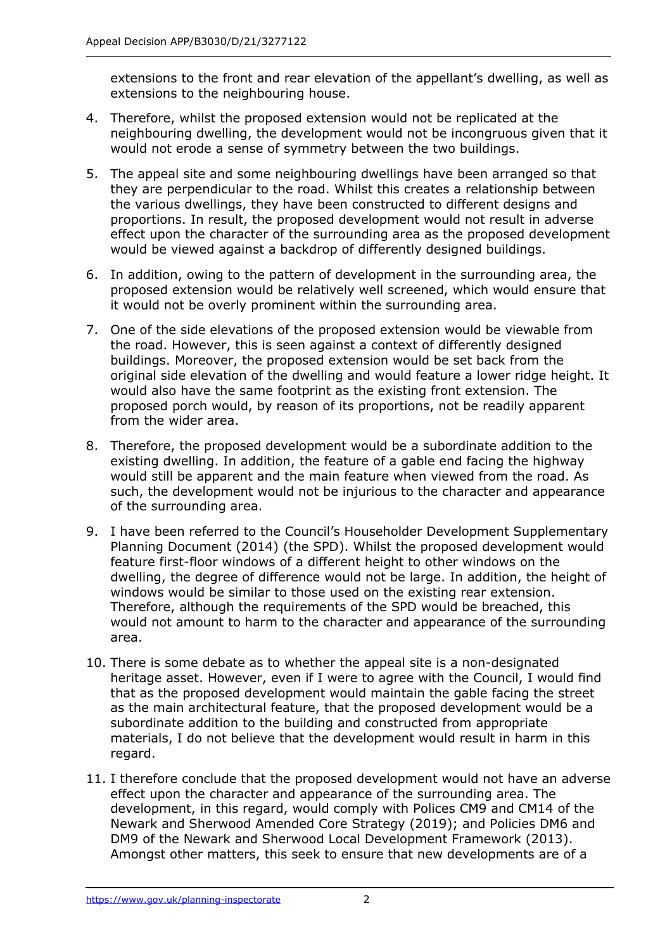extensions to the front and rear elevation of the appellant's dwelling, as well as extensions to the neighbouring house.

- 4. Therefore, whilst the proposed extension would not be replicated at the neighbouring dwelling, the development would not be incongruous given that it would not erode a sense of symmetry between the two buildings.
- 5. The appeal site and some neighbouring dwellings have been arranged so that they are perpendicular to the road. Whilst this creates a relationship between the various dwellings, they have been constructed to different designs and proportions. In result, the proposed development would not result in adverse effect upon the character of the surrounding area as the proposed development would be viewed against a backdrop of differently designed buildings.
- 6. In addition, owing to the pattern of development in the surrounding area, the proposed extension would be relatively well screened, which would ensure that it would not be overly prominent within the surrounding area.
- 7. One of the side elevations of the proposed extension would be viewable from the road. However, this is seen against a context of differently designed buildings. Moreover, the proposed extension would be set back from the original side elevation of the dwelling and would feature a lower ridge height. It would also have the same footprint as the existing front extension. The proposed porch would, by reason of its proportions, not be readily apparent from the wider area.
- 8. Therefore, the proposed development would be a subordinate addition to the existing dwelling. In addition, the feature of a gable end facing the highway would still be apparent and the main feature when viewed from the road. As such, the development would not be injurious to the character and appearance of the surrounding area.
- 9. I have been referred to the Council's Householder Development Supplementary Planning Document (2014) (the SPD). Whilst the proposed development would feature first-floor windows of a different height to other windows on the dwelling, the degree of difference would not be large. In addition, the height of windows would be similar to those used on the existing rear extension. Therefore, although the requirements of the SPD would be breached, this would not amount to harm to the character and appearance of the surrounding area.
- 10. There is some debate as to whether the appeal site is a non-designated heritage asset. However, even if I were to agree with the Council, I would find that as the proposed development would maintain the gable facing the street as the main architectural feature, that the proposed development would be a subordinate addition to the building and constructed from appropriate materials, I do not believe that the development would result in harm in this regard.
- 11. I therefore conclude that the proposed development would not have an adverse effect upon the character and appearance of the surrounding area. The development, in this regard, would comply with Polices CM9 and CM14 of the Newark and Sherwood Amended Core Strategy (2019); and Policies DM6 and DM9 of the Newark and Sherwood Local Development Framework (2013). Amongst other matters, this seek to ensure that new developments are of a